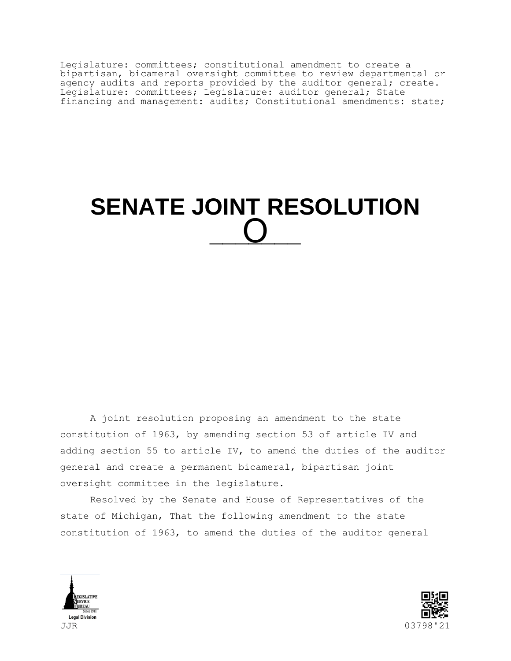Legislature: committees; constitutional amendment to create a bipartisan, bicameral oversight committee to review departmental or agency audits and reports provided by the auditor general; create. Legislature: committees; Legislature: auditor general; State financing and management: audits; Constitutional amendments: state;

## **SENATE JOINT RESOLUTION**  \_\_<u>\_\_\_</u> O

A joint resolution proposing an amendment to the state constitution of 1963, by amending section 53 of article IV and adding section 55 to article IV, to amend the duties of the auditor general and create a permanent bicameral, bipartisan joint oversight committee in the legislature.

Resolved by the Senate and House of Representatives of the state of Michigan, That the following amendment to the state constitution of 1963, to amend the duties of the auditor general



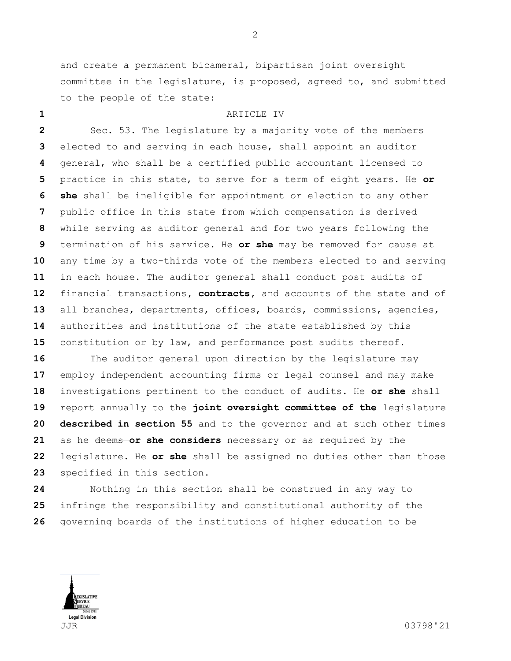and create a permanent bicameral, bipartisan joint oversight committee in the legislature, is proposed, agreed to, and submitted to the people of the state:

## ARTICLE IV

 Sec. 53. The legislature by a majority vote of the members elected to and serving in each house, shall appoint an auditor general, who shall be a certified public accountant licensed to practice in this state, to serve for a term of eight years. He **or she** shall be ineligible for appointment or election to any other public office in this state from which compensation is derived while serving as auditor general and for two years following the termination of his service. He **or she** may be removed for cause at any time by a two-thirds vote of the members elected to and serving in each house. The auditor general shall conduct post audits of financial transactions**, contracts,** and accounts of the state and of all branches, departments, offices, boards, commissions, agencies, authorities and institutions of the state established by this constitution or by law, and performance post audits thereof.

 The auditor general upon direction by the legislature may employ independent accounting firms or legal counsel and may make investigations pertinent to the conduct of audits. He **or she** shall report annually to the **joint oversight committee of the** legislature **described in section 55** and to the governor and at such other times as he deems **or she considers** necessary or as required by the legislature. He **or she** shall be assigned no duties other than those specified in this section.

 Nothing in this section shall be construed in any way to infringe the responsibility and constitutional authority of the governing boards of the institutions of higher education to be

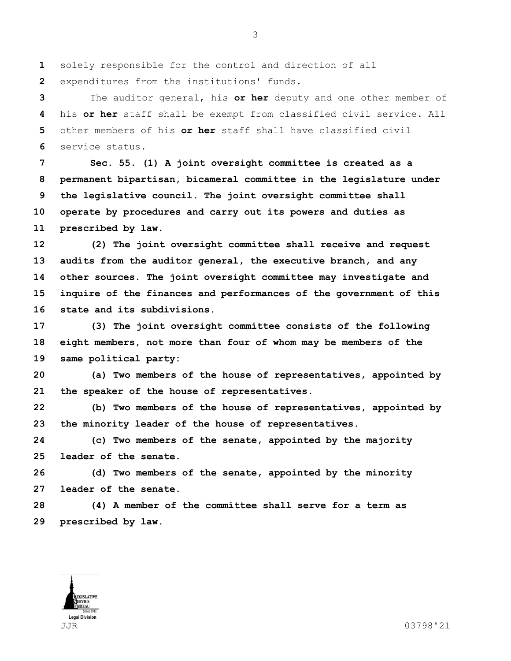solely responsible for the control and direction of all

expenditures from the institutions' funds.

 The auditor general, his **or her** deputy and one other member of his **or her** staff shall be exempt from classified civil service. All other members of his **or her** staff shall have classified civil service status.

 **Sec. 55. (1) A joint oversight committee is created as a permanent bipartisan, bicameral committee in the legislature under the legislative council. The joint oversight committee shall operate by procedures and carry out its powers and duties as prescribed by law.**

 **(2) The joint oversight committee shall receive and request audits from the auditor general, the executive branch, and any other sources. The joint oversight committee may investigate and inquire of the finances and performances of the government of this state and its subdivisions.**

 **(3) The joint oversight committee consists of the following eight members, not more than four of whom may be members of the same political party:**

 **(a) Two members of the house of representatives, appointed by the speaker of the house of representatives.**

 **(b) Two members of the house of representatives, appointed by the minority leader of the house of representatives.**

 **(c) Two members of the senate, appointed by the majority leader of the senate.**

 **(d) Two members of the senate, appointed by the minority leader of the senate.**

 **(4) A member of the committee shall serve for a term as prescribed by law.**